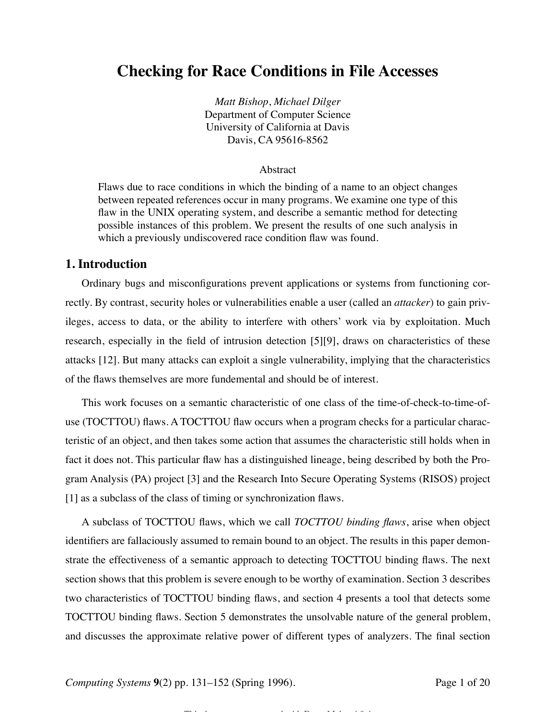# **Checking for Race Conditions in File Accesses**

*Matt Bishop*, *Michael Dilger* Department of Computer Science University of California at Davis Davis, CA 95616-8562

#### Abstract

Flaws due to race conditions in which the binding of a name to an object changes between repeated references occur in many programs. We examine one type of this flaw in the UNIX operating system, and describe a semantic method for detecting possible instances of this problem. We present the results of one such analysis in which a previously undiscovered race condition flaw was found.

#### **1. Introduction**

Ordinary bugs and misconfigurations prevent applications or systems from functioning correctly. By contrast, security holes or vulnerabilities enable a user (called an *attacker*) to gain privileges, access to data, or the ability to interfere with others' work via by exploitation. Much research, especially in the field of intrusion detection [5][9], draws on characteristics of these attacks [12]. But many attacks can exploit a single vulnerability, implying that the characteristics of the flaws themselves are more fundemental and should be of interest.

This work focuses on a semantic characteristic of one class of the time-of-check-to-time-ofuse (TOCTTOU) flaws. A TOCTTOU flaw occurs when a program checks for a particular characteristic of an object, and then takes some action that assumes the characteristic still holds when in fact it does not. This particular flaw has a distinguished lineage, being described by both the Program Analysis (PA) project [3] and the Research Into Secure Operating Systems (RISOS) project [1] as a subclass of the class of timing or synchronization flaws.

A subclass of TOCTTOU flaws, which we call *TOCTTOU binding flaws*, arise when object identifiers are fallaciously assumed to remain bound to an object. The results in this paper demonstrate the effectiveness of a semantic approach to detecting TOCTTOU binding flaws. The next section shows that this problem is severe enough to be worthy of examination. Section 3 describes two characteristics of TOCTTOU binding flaws, and section 4 presents a tool that detects some TOCTTOU binding flaws. Section 5 demonstrates the unsolvable nature of the general problem, and discusses the approximate relative power of different types of analyzers. The final section

<del>This definition of the state and the distribution</del> of the most distribution of the distribution of the distribution<br>The distribution of the distribution of the distribution of the distribution of the distribution of the d

*Computing Systems* **9**(2) pp. 131–152 (Spring 1996). Page 1 of 20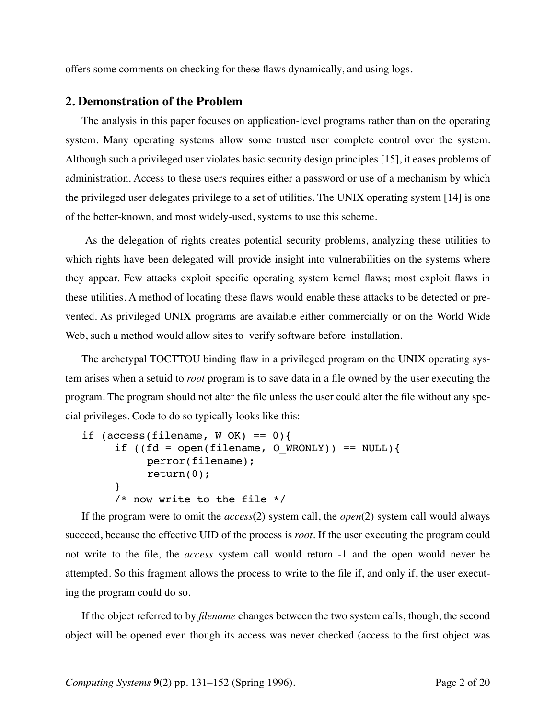offers some comments on checking for these flaws dynamically, and using logs.

#### **2. Demonstration of the Problem**

The analysis in this paper focuses on application-level programs rather than on the operating system. Many operating systems allow some trusted user complete control over the system. Although such a privileged user violates basic security design principles [15], it eases problems of administration. Access to these users requires either a password or use of a mechanism by which the privileged user delegates privilege to a set of utilities. The UNIX operating system [14] is one of the better-known, and most widely-used, systems to use this scheme.

 As the delegation of rights creates potential security problems, analyzing these utilities to which rights have been delegated will provide insight into vulnerabilities on the systems where they appear. Few attacks exploit specific operating system kernel flaws; most exploit flaws in these utilities. A method of locating these flaws would enable these attacks to be detected or prevented. As privileged UNIX programs are available either commercially or on the World Wide Web, such a method would allow sites to verify software before installation.

The archetypal TOCTTOU binding flaw in a privileged program on the UNIX operating system arises when a setuid to *root* program is to save data in a file owned by the user executing the program. The program should not alter the file unless the user could alter the file without any special privileges. Code to do so typically looks like this:

```
if (access(filename, W OK) == 0){
     if ((fd = open(filename, O WRONLY)) == NULL){
          perror(filename);
          return(0);
     }
     /* now write to the file */
```
If the program were to omit the *access*(2) system call, the *open*(2) system call would always succeed, because the effective UID of the process is *root*. If the user executing the program could not write to the file, the *access* system call would return -1 and the open would never be attempted. So this fragment allows the process to write to the file if, and only if, the user executing the program could do so.

If the object referred to by *filename* changes between the two system calls, though, the second object will be opened even though its access was never checked (access to the first object was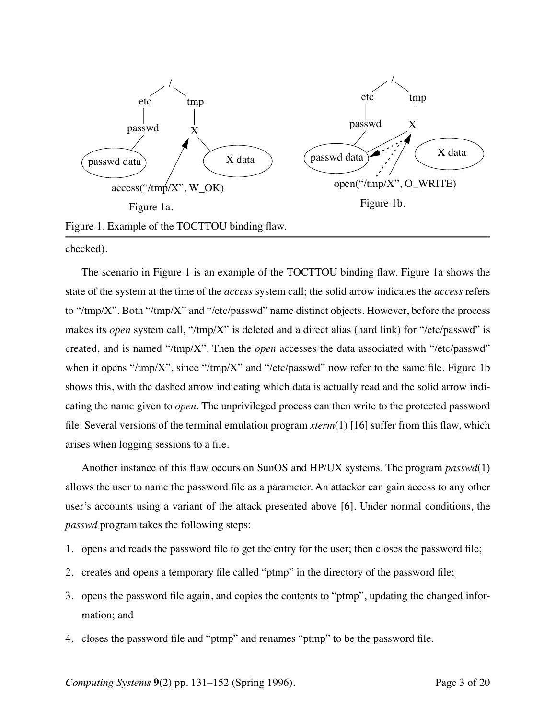

Figure 1. Example of the TOCTTOU binding flaw.

checked).

The scenario in Figure 1 is an example of the TOCTTOU binding flaw. Figure 1a shows the state of the system at the time of the *access* system call; the solid arrow indicates the *access* refers to "/tmp/X". Both "/tmp/X" and "/etc/passwd" name distinct objects. However, before the process makes its *open* system call, "/tmp/X" is deleted and a direct alias (hard link) for "/etc/passwd" is created, and is named "/tmp/X". Then the *open* accesses the data associated with "/etc/passwd" when it opens "/tmp/X", since "/tmp/X" and "/etc/passwd" now refer to the same file. Figure 1b shows this, with the dashed arrow indicating which data is actually read and the solid arrow indicating the name given to *open*. The unprivileged process can then write to the protected password file. Several versions of the terminal emulation program *xterm*(1) [16] suffer from this flaw, which arises when logging sessions to a file.

Another instance of this flaw occurs on SunOS and HP/UX systems. The program *passwd*(1) allows the user to name the password file as a parameter. An attacker can gain access to any other user's accounts using a variant of the attack presented above [6]. Under normal conditions, the *passwd* program takes the following steps:

- 1. opens and reads the password file to get the entry for the user; then closes the password file;
- 2. creates and opens a temporary file called "ptmp" in the directory of the password file;
- 3. opens the password file again, and copies the contents to "ptmp", updating the changed information; and
- 4. closes the password file and "ptmp" and renames "ptmp" to be the password file.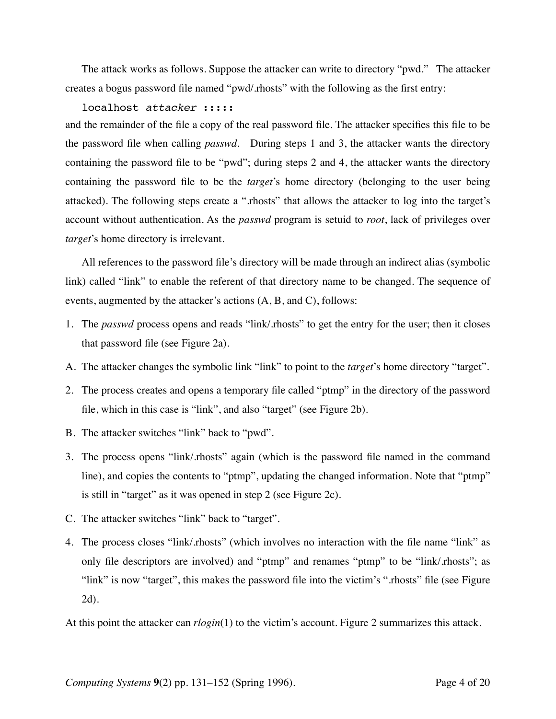The attack works as follows. Suppose the attacker can write to directory "pwd." The attacker creates a bogus password file named "pwd/.rhosts" with the following as the first entry:

localhost *attacker* ::::: and the remainder of the file a copy of the real password file. The attacker specifies this file to be the password file when calling *passwd*. During steps 1 and 3, the attacker wants the directory containing the password file to be "pwd"; during steps 2 and 4, the attacker wants the directory containing the password file to be the *target*'s home directory (belonging to the user being attacked). The following steps create a ".rhosts" that allows the attacker to log into the target's account without authentication. As the *passwd* program is setuid to *root*, lack of privileges over *target*'s home directory is irrelevant.

All references to the password file's directory will be made through an indirect alias (symbolic link) called "link" to enable the referent of that directory name to be changed. The sequence of events, augmented by the attacker's actions (A, B, and C), follows:

- 1. The *passwd* process opens and reads "link/.rhosts" to get the entry for the user; then it closes that password file (see Figure 2a).
- A. The attacker changes the symbolic link "link" to point to the *target*'s home directory "target".
- 2. The process creates and opens a temporary file called "ptmp" in the directory of the password file, which in this case is "link", and also "target" (see Figure 2b).
- B. The attacker switches "link" back to "pwd".
- 3. The process opens "link/.rhosts" again (which is the password file named in the command line), and copies the contents to "ptmp", updating the changed information. Note that "ptmp" is still in "target" as it was opened in step 2 (see Figure 2c).
- C. The attacker switches "link" back to "target".
- 4. The process closes "link/.rhosts" (which involves no interaction with the file name "link" as only file descriptors are involved) and "ptmp" and renames "ptmp" to be "link/.rhosts"; as "link" is now "target", this makes the password file into the victim's ".rhosts" file (see Figure 2d).

At this point the attacker can *rlogin*(1) to the victim's account. Figure 2 summarizes this attack.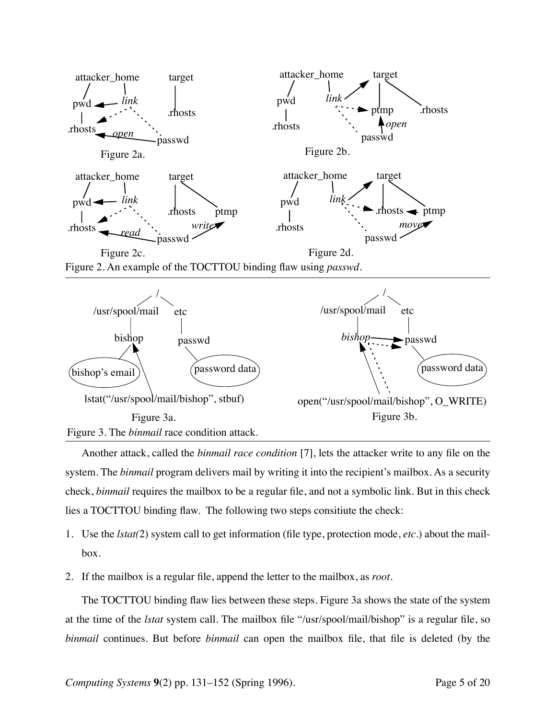

Figure 2. An example of the TOCTTOU binding flaw using *passwd*.



Another attack, called the *binmail race condition* [7], lets the attacker write to any file on the system. The *binmail* program delivers mail by writing it into the recipient's mailbox. As a security check, *binmail* requires the mailbox to be a regular file, and not a symbolic link. But in this check lies a TOCTTOU binding flaw. The following two steps consitiute the check:

- 1. Use the *lstat(*2) system call to get information (file type, protection mode, *etc*.) about the mailbox.
- 2. If the mailbox is a regular file, append the letter to the mailbox, as *root*.

The TOCTTOU binding flaw lies between these steps. Figure 3a shows the state of the system at the time of the *lstat* system call. The mailbox file "/usr/spool/mail/bishop" is a regular file, so *binmail* continues. But before *binmail* can open the mailbox file, that file is deleted (by the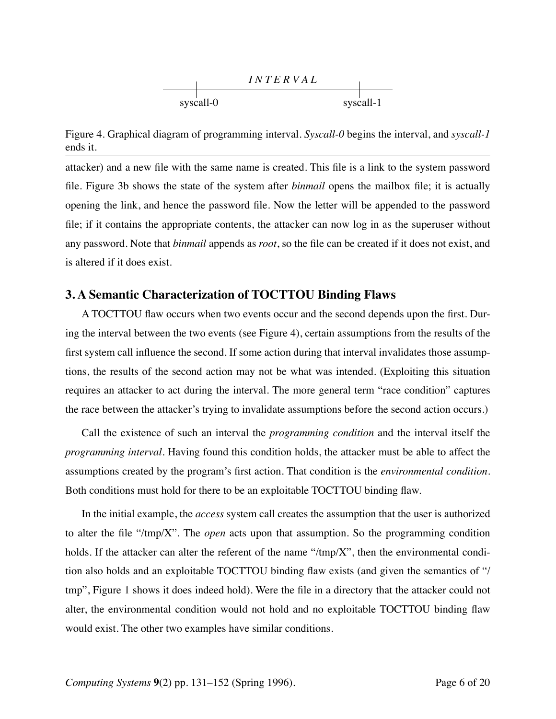

Figure 4. Graphical diagram of programming interval. *Syscall-0* begins the interval, and *syscall-1* ends it.

attacker) and a new file with the same name is created. This file is a link to the system password file. Figure 3b shows the state of the system after *binmail* opens the mailbox file; it is actually opening the link, and hence the password file. Now the letter will be appended to the password file; if it contains the appropriate contents, the attacker can now log in as the superuser without any password. Note that *binmail* appends as *root*, so the file can be created if it does not exist, and is altered if it does exist.

#### **3. A Semantic Characterization of TOCTTOU Binding Flaws**

A TOCTTOU flaw occurs when two events occur and the second depends upon the first. During the interval between the two events (see Figure 4), certain assumptions from the results of the first system call influence the second. If some action during that interval invalidates those assumptions, the results of the second action may not be what was intended. (Exploiting this situation requires an attacker to act during the interval. The more general term "race condition" captures the race between the attacker's trying to invalidate assumptions before the second action occurs.)

Call the existence of such an interval the *programming condition* and the interval itself the *programming interval*. Having found this condition holds, the attacker must be able to affect the assumptions created by the program's first action. That condition is the *environmental condition*. Both conditions must hold for there to be an exploitable TOCTTOU binding flaw.

In the initial example, the *access* system call creates the assumption that the user is authorized to alter the file "/tmp/X". The *open* acts upon that assumption. So the programming condition holds. If the attacker can alter the referent of the name "/tmp/X", then the environmental condition also holds and an exploitable TOCTTOU binding flaw exists (and given the semantics of "/ tmp", Figure 1 shows it does indeed hold). Were the file in a directory that the attacker could not alter, the environmental condition would not hold and no exploitable TOCTTOU binding flaw would exist. The other two examples have similar conditions.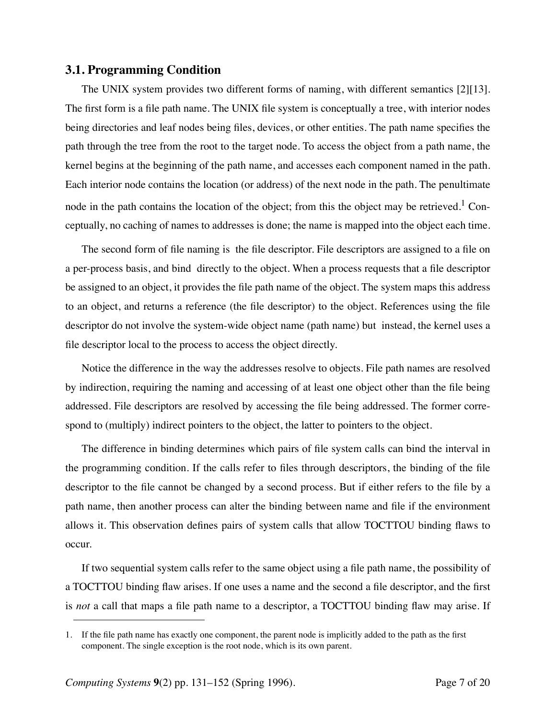#### **3.1. Programming Condition**

The UNIX system provides two different forms of naming, with different semantics [2][13]. The first form is a file path name. The UNIX file system is conceptually a tree, with interior nodes being directories and leaf nodes being files, devices, or other entities. The path name specifies the path through the tree from the root to the target node. To access the object from a path name, the kernel begins at the beginning of the path name, and accesses each component named in the path. Each interior node contains the location (or address) of the next node in the path. The penultimate node in the path contains the location of the object; from this the object may be retrieved.<sup>1</sup> Conceptually, no caching of names to addresses is done; the name is mapped into the object each time.

The second form of file naming is the file descriptor. File descriptors are assigned to a file on a per-process basis, and bind directly to the object. When a process requests that a file descriptor be assigned to an object, it provides the file path name of the object. The system maps this address to an object, and returns a reference (the file descriptor) to the object. References using the file descriptor do not involve the system-wide object name (path name) but instead, the kernel uses a file descriptor local to the process to access the object directly.

Notice the difference in the way the addresses resolve to objects. File path names are resolved by indirection, requiring the naming and accessing of at least one object other than the file being addressed. File descriptors are resolved by accessing the file being addressed. The former correspond to (multiply) indirect pointers to the object, the latter to pointers to the object.

The difference in binding determines which pairs of file system calls can bind the interval in the programming condition. If the calls refer to files through descriptors, the binding of the file descriptor to the file cannot be changed by a second process. But if either refers to the file by a path name, then another process can alter the binding between name and file if the environment allows it. This observation defines pairs of system calls that allow TOCTTOU binding flaws to occur.

If two sequential system calls refer to the same object using a file path name, the possibility of a TOCTTOU binding flaw arises. If one uses a name and the second a file descriptor, and the first is *not* a call that maps a file path name to a descriptor, a TOCTTOU binding flaw may arise. If

<sup>1.</sup> If the file path name has exactly one component, the parent node is implicitly added to the path as the first component. The single exception is the root node, which is its own parent.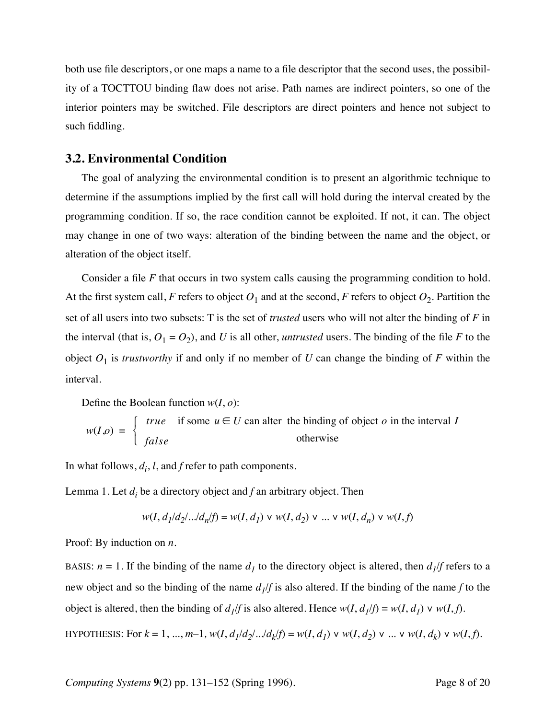both use file descriptors, or one maps a name to a file descriptor that the second uses, the possibility of a TOCTTOU binding flaw does not arise. Path names are indirect pointers, so one of the interior pointers may be switched. File descriptors are direct pointers and hence not subject to such fiddling.

#### **3.2. Environmental Condition**

The goal of analyzing the environmental condition is to present an algorithmic technique to determine if the assumptions implied by the first call will hold during the interval created by the programming condition. If so, the race condition cannot be exploited. If not, it can. The object may change in one of two ways: alteration of the binding between the name and the object, or alteration of the object itself.

Consider a file *F* that occurs in two system calls causing the programming condition to hold. At the first system call, *F* refers to object  $O_1$  and at the second, *F* refers to object  $O_2$ . Partition the set of all users into two subsets: T is the set of *trusted* users who will not alter the binding of *F* in the interval (that is,  $O_1 = O_2$ ), and *U* is all other, *untrusted* users. The binding of the file *F* to the object  $O_1$  is *trustworthy* if and only if no member of *U* can change the binding of *F* within the interval.

Define the Boolean function *w*(*I*, *o*):

$$
w(I,o) = \begin{cases} true & \text{if some } u \in U \text{ can alter the binding of object } o \text{ in the interval } I \\ false & \text{otherwise} \end{cases}
$$

In what follows,  $d_i$ ,  $l$ , and  $f$  refer to path components.

Lemma 1. Let  $d_i$  be a directory object and  $f$  an arbitrary object. Then

$$
w(I, d_1/d_2).../d_n/f) = w(I, d_1) \lor w(I, d_2) \lor ... \lor w(I, d_n) \lor w(I, f)
$$

Proof: By induction on *n*.

BASIS:  $n = 1$ . If the binding of the name  $d<sub>I</sub>$  to the directory object is altered, then  $d<sub>I</sub>/f$  refers to a new object and so the binding of the name  $d_1/f$  is also altered. If the binding of the name f to the object is altered, then the binding of  $d_1/f$  is also altered. Hence  $w(I, d_1/f) = w(I, d_1) \vee w(I, f)$ . HYPOTHESIS: For  $k = 1, ..., m-1$ ,  $w(I, d_1/d_2).../d_k/f$  =  $w(I, d_1) \vee w(I, d_2) \vee ... \vee w(I, d_k) \vee w(I, f)$ .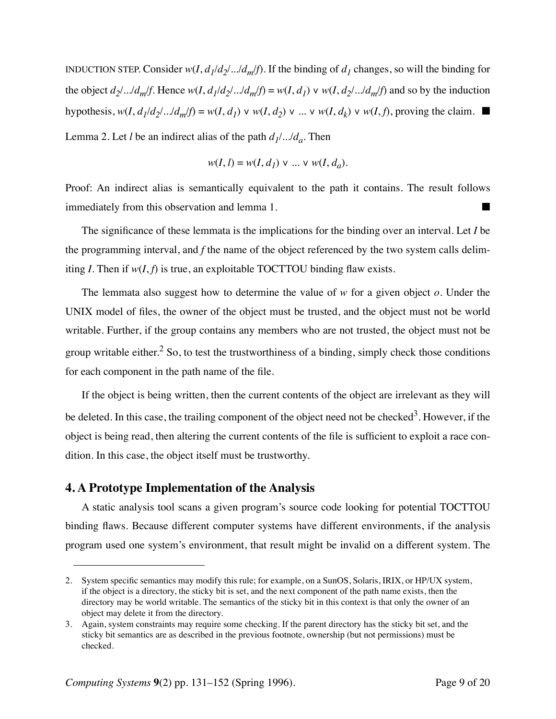INDUCTION STEP. Consider  $w(I, d_1/d_2).../d_m/f$ . If the binding of  $d_1$  changes, so will the binding for the object  $d_2$ ..../ $d_m$ /*f*. Hence  $w(I, d_1/d_2)$ .../ $d_m$ /*f*) =  $w(I, d_1) \vee w(I, d_2)$ .../ $d_m$ /*f*) and so by the induction hypothesis,  $w(I, d_1/d_2).../d_m/f$  =  $w(I, d_1) \vee w(I, d_2) \vee ... \vee w(I, d_k) \vee w(I, f)$ , proving the claim. Lemma 2. Let *l* be an indirect alias of the path  $d_1$ .../ $d_a$ . Then

$$
w(I, l) = w(I, d_1) \vee \dots \vee w(I, d_a).
$$

Proof: An indirect alias is semantically equivalent to the path it contains. The result follows immediately from this observation and lemma 1.

The significance of these lemmata is the implications for the binding over an interval. Let *I* be the programming interval, and *f* the name of the object referenced by the two system calls delimiting *I*. Then if  $w(I, f)$  is true, an exploitable TOCTTOU binding flaw exists.

The lemmata also suggest how to determine the value of *w* for a given object *o*. Under the UNIX model of files, the owner of the object must be trusted, and the object must not be world writable. Further, if the group contains any members who are not trusted, the object must not be group writable either.<sup>2</sup> So, to test the trustworthiness of a binding, simply check those conditions for each component in the path name of the file.

If the object is being written, then the current contents of the object are irrelevant as they will be deleted. In this case, the trailing component of the object need not be checked<sup>3</sup>. However, if the object is being read, then altering the current contents of the file is sufficient to exploit a race condition. In this case, the object itself must be trustworthy.

#### **4. A Prototype Implementation of the Analysis**

A static analysis tool scans a given program's source code looking for potential TOCTTOU binding flaws. Because different computer systems have different environments, if the analysis program used one system's environment, that result might be invalid on a different system. The

<sup>2.</sup> System specific semantics may modify this rule; for example, on a SunOS, Solaris, IRIX, or HP/UX system, if the object is a directory, the sticky bit is set, and the next component of the path name exists, then the directory may be world writable. The semantics of the sticky bit in this context is that only the owner of an object may delete it from the directory.

<sup>3.</sup> Again, system constraints may require some checking. If the parent directory has the sticky bit set, and the sticky bit semantics are as described in the previous footnote, ownership (but not permissions) must be checked.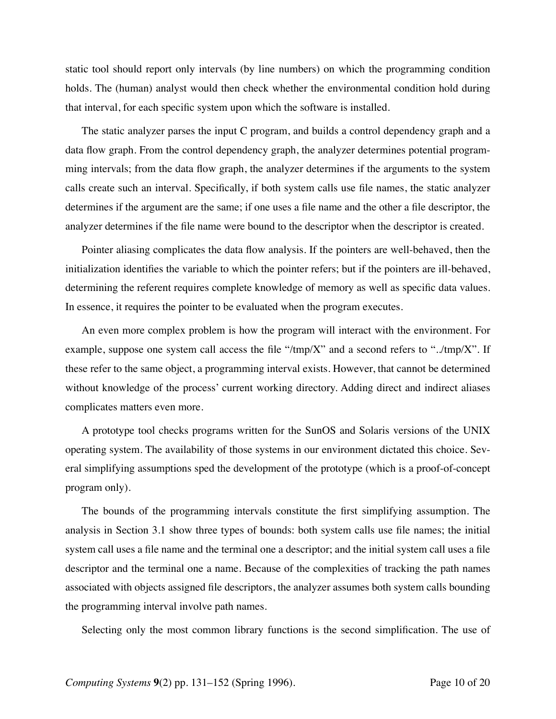static tool should report only intervals (by line numbers) on which the programming condition holds. The (human) analyst would then check whether the environmental condition hold during that interval, for each specific system upon which the software is installed.

The static analyzer parses the input C program, and builds a control dependency graph and a data flow graph. From the control dependency graph, the analyzer determines potential programming intervals; from the data flow graph, the analyzer determines if the arguments to the system calls create such an interval. Specifically, if both system calls use file names, the static analyzer determines if the argument are the same; if one uses a file name and the other a file descriptor, the analyzer determines if the file name were bound to the descriptor when the descriptor is created.

Pointer aliasing complicates the data flow analysis. If the pointers are well-behaved, then the initialization identifies the variable to which the pointer refers; but if the pointers are ill-behaved, determining the referent requires complete knowledge of memory as well as specific data values. In essence, it requires the pointer to be evaluated when the program executes.

An even more complex problem is how the program will interact with the environment. For example, suppose one system call access the file "/tmp/X" and a second refers to "../tmp/X". If these refer to the same object, a programming interval exists. However, that cannot be determined without knowledge of the process' current working directory. Adding direct and indirect aliases complicates matters even more.

A prototype tool checks programs written for the SunOS and Solaris versions of the UNIX operating system. The availability of those systems in our environment dictated this choice. Several simplifying assumptions sped the development of the prototype (which is a proof-of-concept program only).

The bounds of the programming intervals constitute the first simplifying assumption. The analysis in Section 3.1 show three types of bounds: both system calls use file names; the initial system call uses a file name and the terminal one a descriptor; and the initial system call uses a file descriptor and the terminal one a name. Because of the complexities of tracking the path names associated with objects assigned file descriptors, the analyzer assumes both system calls bounding the programming interval involve path names.

Selecting only the most common library functions is the second simplification. The use of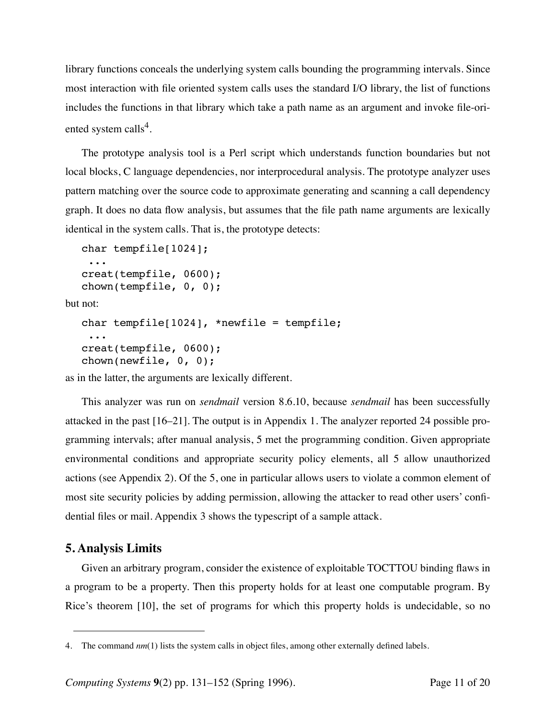library functions conceals the underlying system calls bounding the programming intervals. Since most interaction with file oriented system calls uses the standard I/O library, the list of functions includes the functions in that library which take a path name as an argument and invoke file-oriented system calls<sup>4</sup>.

The prototype analysis tool is a Perl script which understands function boundaries but not local blocks, C language dependencies, nor interprocedural analysis. The prototype analyzer uses pattern matching over the source code to approximate generating and scanning a call dependency graph. It does no data flow analysis, but assumes that the file path name arguments are lexically identical in the system calls. That is, the prototype detects:

```
char tempfile[1024];
 ...
creat(tempfile, 0600);
chown(tempfile, 0, 0);
```
but not:

```
char tempfile[1024], *newfile = tempfile;
 ...
creat(tempfile, 0600);
chown(newfile, 0, 0);
```
as in the latter, the arguments are lexically different.

This analyzer was run on *sendmail* version 8.6.10, because *sendmail* has been successfully attacked in the past [16–21]. The output is in Appendix 1. The analyzer reported 24 possible programming intervals; after manual analysis, 5 met the programming condition. Given appropriate environmental conditions and appropriate security policy elements, all 5 allow unauthorized actions (see Appendix 2). Of the 5, one in particular allows users to violate a common element of most site security policies by adding permission, allowing the attacker to read other users' confidential files or mail. Appendix 3 shows the typescript of a sample attack.

# **5. Analysis Limits**

Given an arbitrary program, consider the existence of exploitable TOCTTOU binding flaws in a program to be a property. Then this property holds for at least one computable program. By Rice's theorem [10], the set of programs for which this property holds is undecidable, so no

<sup>4.</sup> The command *nm*(1) lists the system calls in object files, among other externally defined labels.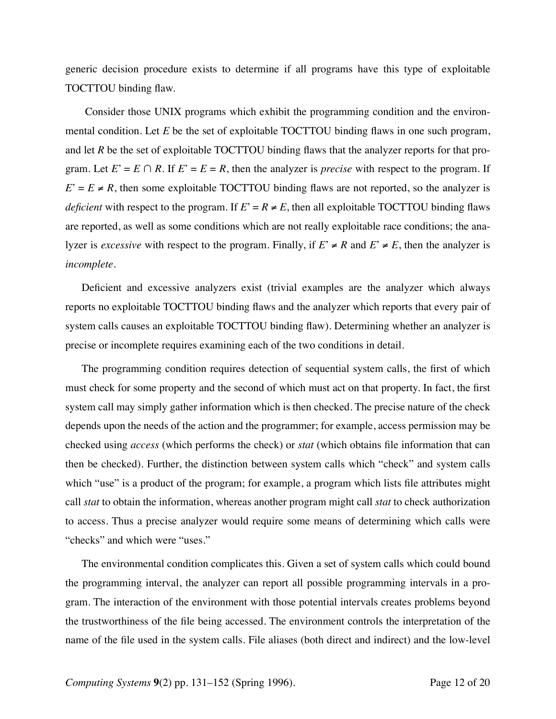generic decision procedure exists to determine if all programs have this type of exploitable TOCTTOU binding flaw.

 Consider those UNIX programs which exhibit the programming condition and the environmental condition. Let *E* be the set of exploitable TOCTTOU binding flaws in one such program, and let *R* be the set of exploitable TOCTTOU binding flaws that the analyzer reports for that program. Let  $E' = E \cap R$ . If  $E' = E = R$ , then the analyzer is *precise* with respect to the program. If  $E' = E \neq R$ , then some exploitable TOCTTOU binding flaws are not reported, so the analyzer is *deficient* with respect to the program. If  $E' = R \neq E$ , then all exploitable TOCTTOU binding flaws are reported, as well as some conditions which are not really exploitable race conditions; the analyzer is *excessive* with respect to the program. Finally, if  $E \neq R$  and  $E \neq E$ , then the analyzer is *incomplete*.

Deficient and excessive analyzers exist (trivial examples are the analyzer which always reports no exploitable TOCTTOU binding flaws and the analyzer which reports that every pair of system calls causes an exploitable TOCTTOU binding flaw). Determining whether an analyzer is precise or incomplete requires examining each of the two conditions in detail.

The programming condition requires detection of sequential system calls, the first of which must check for some property and the second of which must act on that property. In fact, the first system call may simply gather information which is then checked. The precise nature of the check depends upon the needs of the action and the programmer; for example, access permission may be checked using *access* (which performs the check) or *stat* (which obtains file information that can then be checked). Further, the distinction between system calls which "check" and system calls which "use" is a product of the program; for example, a program which lists file attributes might call *stat* to obtain the information, whereas another program might call *stat* to check authorization to access. Thus a precise analyzer would require some means of determining which calls were "checks" and which were "uses."

The environmental condition complicates this. Given a set of system calls which could bound the programming interval, the analyzer can report all possible programming intervals in a program. The interaction of the environment with those potential intervals creates problems beyond the trustworthiness of the file being accessed. The environment controls the interpretation of the name of the file used in the system calls. File aliases (both direct and indirect) and the low-level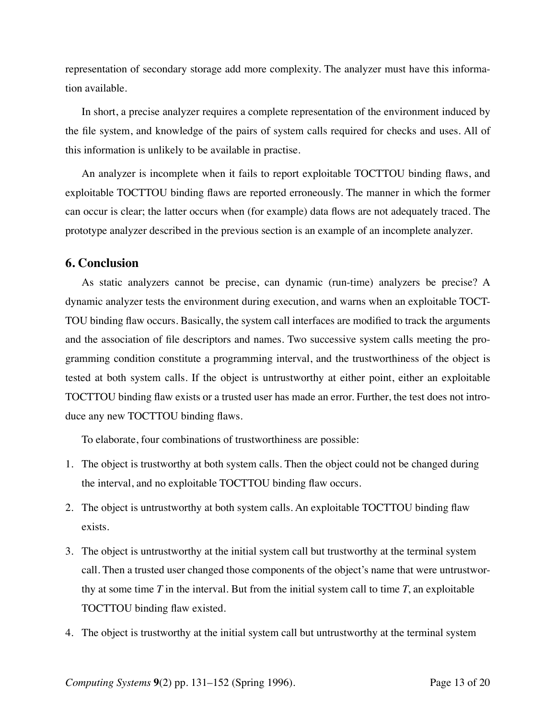representation of secondary storage add more complexity. The analyzer must have this information available.

In short, a precise analyzer requires a complete representation of the environment induced by the file system, and knowledge of the pairs of system calls required for checks and uses. All of this information is unlikely to be available in practise.

An analyzer is incomplete when it fails to report exploitable TOCTTOU binding flaws, and exploitable TOCTTOU binding flaws are reported erroneously. The manner in which the former can occur is clear; the latter occurs when (for example) data flows are not adequately traced. The prototype analyzer described in the previous section is an example of an incomplete analyzer.

#### **6. Conclusion**

As static analyzers cannot be precise, can dynamic (run-time) analyzers be precise? A dynamic analyzer tests the environment during execution, and warns when an exploitable TOCT-TOU binding flaw occurs. Basically, the system call interfaces are modified to track the arguments and the association of file descriptors and names. Two successive system calls meeting the programming condition constitute a programming interval, and the trustworthiness of the object is tested at both system calls. If the object is untrustworthy at either point, either an exploitable TOCTTOU binding flaw exists or a trusted user has made an error. Further, the test does not introduce any new TOCTTOU binding flaws.

To elaborate, four combinations of trustworthiness are possible:

- 1. The object is trustworthy at both system calls. Then the object could not be changed during the interval, and no exploitable TOCTTOU binding flaw occurs.
- 2. The object is untrustworthy at both system calls. An exploitable TOCTTOU binding flaw exists.
- 3. The object is untrustworthy at the initial system call but trustworthy at the terminal system call. Then a trusted user changed those components of the object's name that were untrustworthy at some time *T* in the interval. But from the initial system call to time *T*, an exploitable TOCTTOU binding flaw existed.
- 4. The object is trustworthy at the initial system call but untrustworthy at the terminal system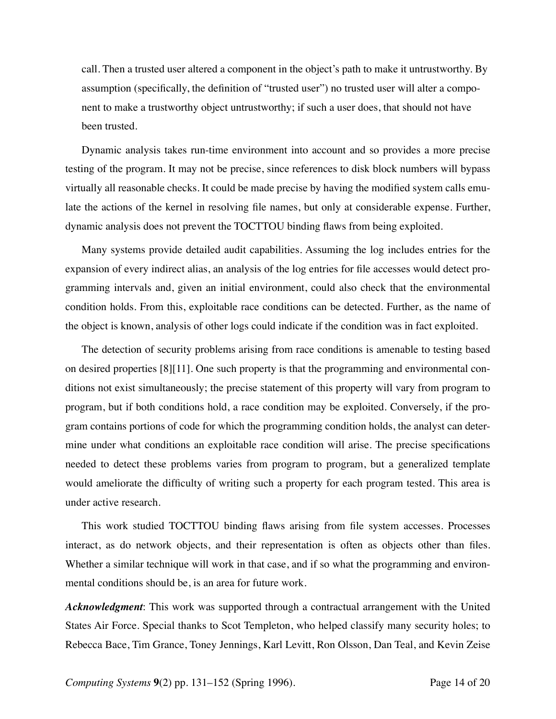call. Then a trusted user altered a component in the object's path to make it untrustworthy. By assumption (specifically, the definition of "trusted user") no trusted user will alter a component to make a trustworthy object untrustworthy; if such a user does, that should not have been trusted.

Dynamic analysis takes run-time environment into account and so provides a more precise testing of the program. It may not be precise, since references to disk block numbers will bypass virtually all reasonable checks. It could be made precise by having the modified system calls emulate the actions of the kernel in resolving file names, but only at considerable expense. Further, dynamic analysis does not prevent the TOCTTOU binding flaws from being exploited.

Many systems provide detailed audit capabilities. Assuming the log includes entries for the expansion of every indirect alias, an analysis of the log entries for file accesses would detect programming intervals and, given an initial environment, could also check that the environmental condition holds. From this, exploitable race conditions can be detected. Further, as the name of the object is known, analysis of other logs could indicate if the condition was in fact exploited.

The detection of security problems arising from race conditions is amenable to testing based on desired properties [8][11]. One such property is that the programming and environmental conditions not exist simultaneously; the precise statement of this property will vary from program to program, but if both conditions hold, a race condition may be exploited. Conversely, if the program contains portions of code for which the programming condition holds, the analyst can determine under what conditions an exploitable race condition will arise. The precise specifications needed to detect these problems varies from program to program, but a generalized template would ameliorate the difficulty of writing such a property for each program tested. This area is under active research.

This work studied TOCTTOU binding flaws arising from file system accesses. Processes interact, as do network objects, and their representation is often as objects other than files. Whether a similar technique will work in that case, and if so what the programming and environmental conditions should be, is an area for future work.

*Acknowledgment*: This work was supported through a contractual arrangement with the United States Air Force. Special thanks to Scot Templeton, who helped classify many security holes; to Rebecca Bace, Tim Grance, Toney Jennings, Karl Levitt, Ron Olsson, Dan Teal, and Kevin Zeise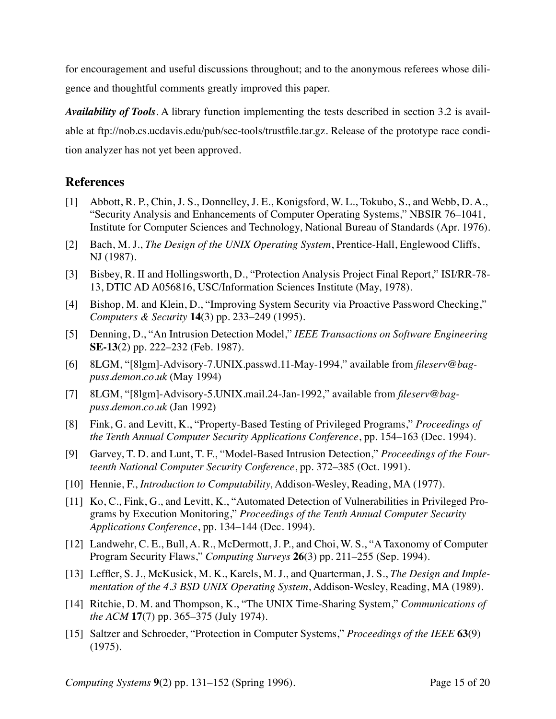for encouragement and useful discussions throughout; and to the anonymous referees whose diligence and thoughtful comments greatly improved this paper.

*Availability of Tools*. A library function implementing the tests described in section 3.2 is available at ftp://nob.cs.ucdavis.edu/pub/sec-tools/trustfile.tar.gz. Release of the prototype race condition analyzer has not yet been approved.

# **References**

- [1] Abbott, R. P., Chin, J. S., Donnelley, J. E., Konigsford, W. L., Tokubo, S., and Webb, D. A., "Security Analysis and Enhancements of Computer Operating Systems," NBSIR 76–1041, Institute for Computer Sciences and Technology, National Bureau of Standards (Apr. 1976).
- [2] Bach, M. J., *The Design of the UNIX Operating System*, Prentice-Hall, Englewood Cliffs, NJ (1987).
- [3] Bisbey, R. II and Hollingsworth, D., "Protection Analysis Project Final Report," ISI/RR-78- 13, DTIC AD A056816, USC/Information Sciences Institute (May, 1978).
- [4] Bishop, M. and Klein, D., "Improving System Security via Proactive Password Checking," *Computers & Security* **14**(3) pp. 233–249 (1995).
- [5] Denning, D., "An Intrusion Detection Model," *IEEE Transactions on Software Engineering* **SE-13**(2) pp. 222–232 (Feb. 1987).
- [6] 8LGM, "[8lgm]-Advisory-7.UNIX.passwd.11-May-1994," available from *fileserv@bagpuss.demon.co.uk* (May 1994)
- [7] 8LGM, "[8lgm]-Advisory-5.UNIX.mail.24-Jan-1992," available from *fileserv@bagpuss.demon.co.uk* (Jan 1992)
- [8] Fink, G. and Levitt, K., "Property-Based Testing of Privileged Programs," *Proceedings of the Tenth Annual Computer Security Applications Conference*, pp. 154–163 (Dec. 1994).
- [9] Garvey, T. D. and Lunt, T. F., "Model-Based Intrusion Detection," *Proceedings of the Fourteenth National Computer Security Conference*, pp. 372–385 (Oct. 1991).
- [10] Hennie, F., *Introduction to Computability*, Addison-Wesley, Reading, MA (1977).
- [11] Ko, C., Fink, G., and Levitt, K., "Automated Detection of Vulnerabilities in Privileged Programs by Execution Monitoring," *Proceedings of the Tenth Annual Computer Security Applications Conference*, pp. 134–144 (Dec. 1994).
- [12] Landwehr, C. E., Bull, A. R., McDermott, J. P., and Choi, W. S., "A Taxonomy of Computer Program Security Flaws," *Computing Surveys* **26**(3) pp. 211–255 (Sep. 1994).
- [13] Leffler, S. J., McKusick, M. K., Karels, M. J., and Quarterman, J. S., *The Design and Implementation of the 4.3 BSD UNIX Operating System*, Addison-Wesley, Reading, MA (1989).
- [14] Ritchie, D. M. and Thompson, K., "The UNIX Time-Sharing System," *Communications of the ACM* **17**(7) pp. 365–375 (July 1974).
- [15] Saltzer and Schroeder, "Protection in Computer Systems," *Proceedings of the IEEE* **63**(9) (1975).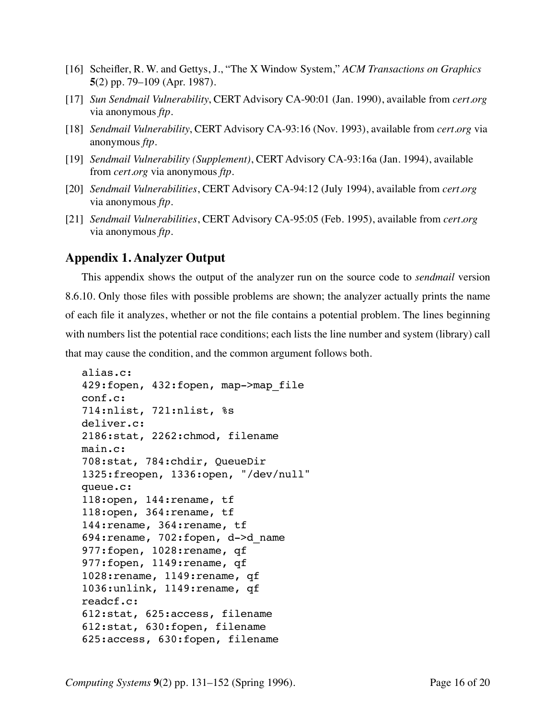- [16] Scheifler, R. W. and Gettys, J., "The X Window System," *ACM Transactions on Graphics* **5**(2) pp. 79–109 (Apr. 1987).
- [17] *Sun Sendmail Vulnerability*, CERT Advisory CA-90:01 (Jan. 1990), available from *cert.org* via anonymous *ftp.*
- [18] *Sendmail Vulnerability*, CERT Advisory CA-93:16 (Nov. 1993), available from *cert.org* via anonymous *ftp.*
- [19] *Sendmail Vulnerability (Supplement)*, CERT Advisory CA-93:16a (Jan. 1994), available from *cert.org* via anonymous *ftp.*
- [20] *Sendmail Vulnerabilities*, CERT Advisory CA-94:12 (July 1994), available from *cert.org* via anonymous *ftp.*
- [21] *Sendmail Vulnerabilities*, CERT Advisory CA-95:05 (Feb. 1995), available from *cert.org* via anonymous *ftp.*

### **Appendix 1. Analyzer Output**

This appendix shows the output of the analyzer run on the source code to *sendmail* version 8.6.10. Only those files with possible problems are shown; the analyzer actually prints the name of each file it analyzes, whether or not the file contains a potential problem. The lines beginning with numbers list the potential race conditions; each lists the line number and system (library) call that may cause the condition, and the common argument follows both.

```
alias.c:
429:fopen, 432:fopen, map->map_file
conf.c:
714:nlist, 721:nlist, %s
deliver.c:
2186:stat, 2262:chmod, filename
main.c:
708:stat, 784:chdir, QueueDir
1325:freopen, 1336:open, "/dev/null"
queue.c:
118:open, 144:rename, tf
118:open, 364:rename, tf
144:rename, 364:rename, tf
694:rename, 702:fopen, d->d_name
977:fopen, 1028:rename, qf
977:fopen, 1149:rename, qf
1028:rename, 1149:rename, qf
1036:unlink, 1149:rename, qf
readcf.c:
612:stat, 625:access, filename
612:stat, 630:fopen, filename
625:access, 630:fopen, filename
```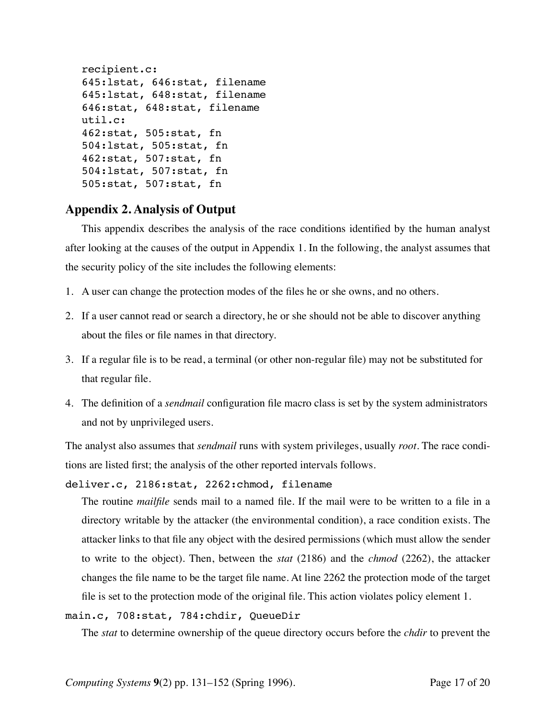```
recipient.c:
645:lstat, 646:stat, filename
645:lstat, 648:stat, filename
646:stat, 648:stat, filename
util.c:
462:stat, 505:stat, fn
504:lstat, 505:stat, fn
462:stat, 507:stat, fn
504:lstat, 507:stat, fn
505:stat, 507:stat, fn
```
# **Appendix 2. Analysis of Output**

This appendix describes the analysis of the race conditions identified by the human analyst after looking at the causes of the output in Appendix 1. In the following, the analyst assumes that the security policy of the site includes the following elements:

- 1. A user can change the protection modes of the files he or she owns, and no others.
- 2. If a user cannot read or search a directory, he or she should not be able to discover anything about the files or file names in that directory.
- 3. If a regular file is to be read, a terminal (or other non-regular file) may not be substituted for that regular file.
- 4. The definition of a *sendmail* configuration file macro class is set by the system administrators and not by unprivileged users.

The analyst also assumes that *sendmail* runs with system privileges, usually *root*. The race conditions are listed first; the analysis of the other reported intervals follows.

deliver.c, 2186:stat, 2262:chmod, filename

The routine *mailfile* sends mail to a named file. If the mail were to be written to a file in a directory writable by the attacker (the environmental condition), a race condition exists. The attacker links to that file any object with the desired permissions (which must allow the sender to write to the object). Then, between the *stat* (2186) and the *chmod* (2262), the attacker changes the file name to be the target file name. At line 2262 the protection mode of the target file is set to the protection mode of the original file. This action violates policy element 1.

main.c, 708:stat, 784:chdir, QueueDir

The *stat* to determine ownership of the queue directory occurs before the *chdir* to prevent the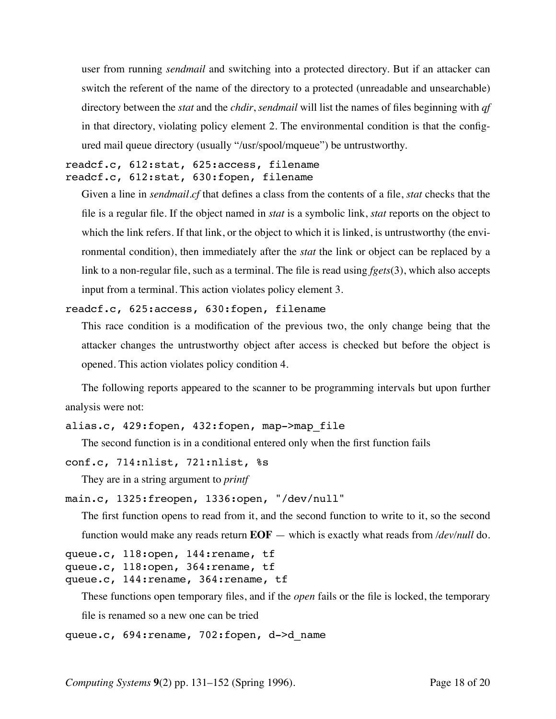user from running *sendmail* and switching into a protected directory. But if an attacker can switch the referent of the name of the directory to a protected (unreadable and unsearchable) directory between the *stat* and the *chdir*, *sendmail* will list the names of files beginning with *qf* in that directory, violating policy element 2. The environmental condition is that the configured mail queue directory (usually "/usr/spool/mqueue") be untrustworthy.

readcf.c, 612:stat, 625:access, filename readcf.c, 612:stat, 630:fopen, filename

Given a line in *sendmail.cf* that defines a class from the contents of a file, *stat* checks that the file is a regular file. If the object named in *stat* is a symbolic link, *stat* reports on the object to which the link refers. If that link, or the object to which it is linked, is untrustworthy (the environmental condition), then immediately after the *stat* the link or object can be replaced by a link to a non-regular file, such as a terminal. The file is read using *fgets*(3), which also accepts input from a terminal. This action violates policy element 3.

readcf.c, 625:access, 630:fopen, filename

This race condition is a modification of the previous two, the only change being that the attacker changes the untrustworthy object after access is checked but before the object is opened. This action violates policy condition 4.

The following reports appeared to the scanner to be programming intervals but upon further analysis were not:

```
alias.c, 429:fopen, 432:fopen, map->map file
```
The second function is in a conditional entered only when the first function fails

```
conf.c, 714:nlist, 721:nlist, %s
```
They are in a string argument to *printf*

```
main.c, 1325:freopen, 1336:open, "/dev/null"
```
The first function opens to read from it, and the second function to write to it, so the second function would make any reads return **EOF** — which is exactly what reads from */dev/null* do.

```
queue.c, 118:open, 144:rename, tf
queue.c, 118:open, 364:rename, tf
queue.c, 144:rename, 364:rename, tf
```
These functions open temporary files, and if the *open* fails or the file is locked, the temporary

```
file is renamed so a new one can be tried
```

```
queue.c, 694: rename, 702: fopen, d->d name
```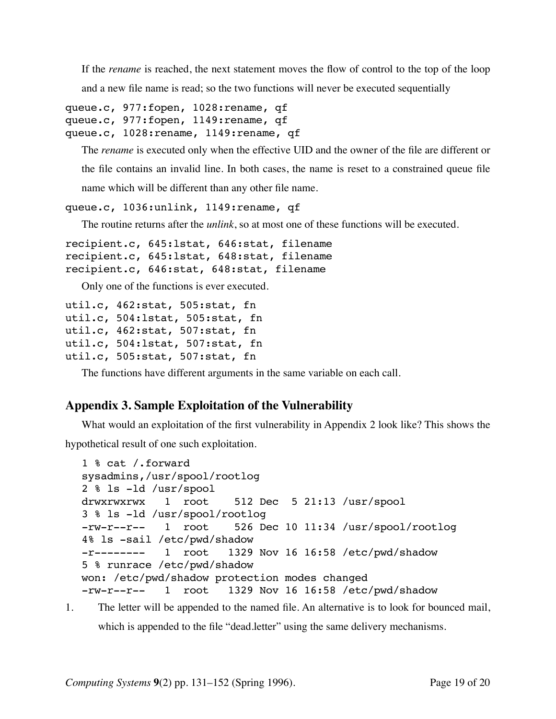If the *rename* is reached, the next statement moves the flow of control to the top of the loop

and a new file name is read; so the two functions will never be executed sequentially

```
queue.c, 977:fopen, 1028:rename, qf
queue.c, 977:fopen, 1149:rename, qf
queue.c, 1028:rename, 1149:rename, qf
```
The *rename* is executed only when the effective UID and the owner of the file are different or the file contains an invalid line. In both cases, the name is reset to a constrained queue file name which will be different than any other file name.

```
queue.c, 1036:unlink, 1149:rename, qf
```
The routine returns after the *unlink*, so at most one of these functions will be executed.

```
recipient.c, 645:lstat, 646:stat, filename
recipient.c, 645:lstat, 648:stat, filename
recipient.c, 646:stat, 648:stat, filename
```
Only one of the functions is ever executed.

```
util.c, 462:stat, 505:stat, fn
util.c, 504:lstat, 505:stat, fn
util.c, 462:stat, 507:stat, fn
util.c, 504:lstat, 507:stat, fn
util.c, 505:stat, 507:stat, fn
```
The functions have different arguments in the same variable on each call.

# **Appendix 3. Sample Exploitation of the Vulnerability**

What would an exploitation of the first vulnerability in Appendix 2 look like? This shows the

hypothetical result of one such exploitation.

```
1 % cat /.forward
sysadmins,/usr/spool/rootlog
2 % ls -ld /usr/spool
drwxrwxrwx 1 root 512 Dec 5 21:13 /usr/spool
3 % ls -ld /usr/spool/rootlog
-rw-r--r-- 1 root 526 Dec 10 11:34 /usr/spool/rootlog
4% ls -sail /etc/pwd/shadow
-r-------- 1 root 1329 Nov 16 16:58 /etc/pwd/shadow
5 % runrace /etc/pwd/shadow
won: /etc/pwd/shadow protection modes changed
-rw-r--r-- 1 root 1329 Nov 16 16:58 /etc/pwd/shadow
```
1. The letter will be appended to the named file. An alternative is to look for bounced mail, which is appended to the file "dead.letter" using the same delivery mechanisms.